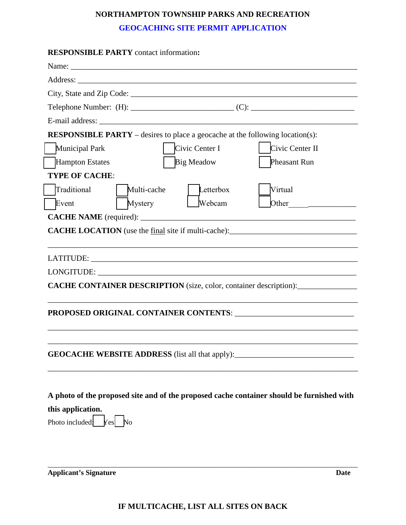# **NORTHAMPTON TOWNSHIP PARKS AND RECREATION**

## **GEOCACHING SITE PERMIT APPLICATION**

| <b>RESPONSIBLE PARTY</b> contact information:                                             |
|-------------------------------------------------------------------------------------------|
|                                                                                           |
|                                                                                           |
|                                                                                           |
|                                                                                           |
|                                                                                           |
| <b>RESPONSIBLE PARTY</b> – desires to place a geocache at the following location(s):      |
| Municipal Park<br>Civic Center I<br>Civic Center II                                       |
| Hampton Estates<br><b>Big Meadow</b><br>Pheasant Run                                      |
| <b>TYPE OF CACHE:</b>                                                                     |
| Traditional<br>Multi-cache<br>Virtual<br>Letterbox                                        |
| <b>Mystery</b><br>Event<br>Webcam                                                         |
|                                                                                           |
|                                                                                           |
|                                                                                           |
|                                                                                           |
| CACHE CONTAINER DESCRIPTION (size, color, container description):                         |
|                                                                                           |
|                                                                                           |
|                                                                                           |
|                                                                                           |
|                                                                                           |
|                                                                                           |
|                                                                                           |
| A photo of the proposed site and of the proposed cache container should be furnished with |
| this application.                                                                         |
| Photo included:<br>$Yes$ No                                                               |
|                                                                                           |

**Applicant's Signature Date**

\_\_\_\_\_\_\_\_\_\_\_\_\_\_\_\_\_\_\_\_\_\_\_\_\_\_\_\_\_\_\_\_\_\_\_\_\_\_\_\_\_\_\_\_\_\_\_\_\_\_\_\_\_\_\_\_\_\_\_\_\_\_\_\_\_\_\_\_\_\_\_\_\_\_\_\_\_\_\_\_\_\_\_\_\_